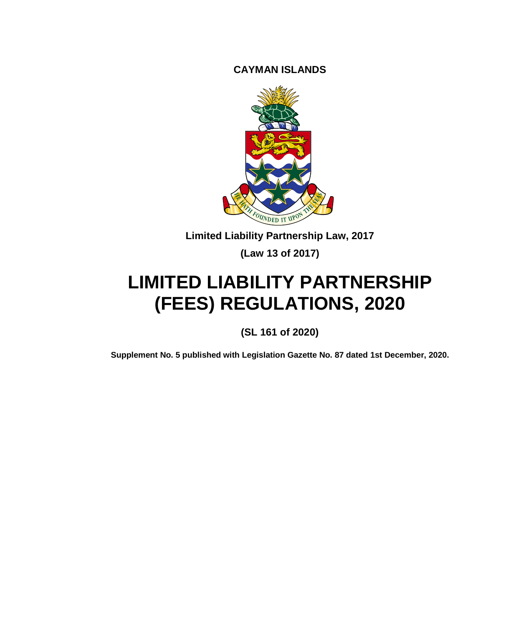**CAYMAN ISLANDS**



**Limited Liability Partnership Law, 2017**

**(Law 13 of 2017)**

# **LIMITED LIABILITY PARTNERSHIP (FEES) REGULATIONS, 2020**

**(SL 161 of 2020)**

**Supplement No. 5 published with Legislation Gazette No. 87 dated 1st December, 2020.**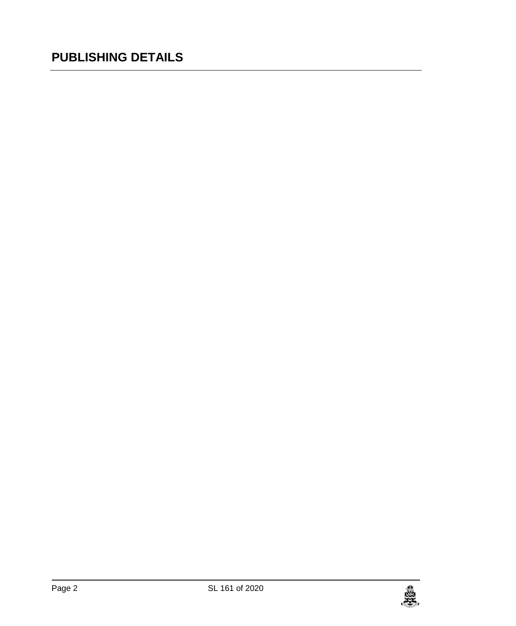## **PUBLISHING DETAILS**

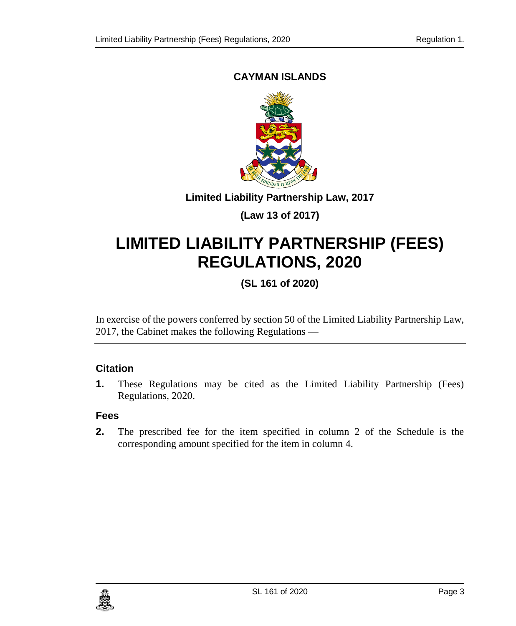#### **CAYMAN ISLANDS**



#### **Limited Liability Partnership Law, 2017**

## **(Law 13 of 2017)**

# **LIMITED LIABILITY PARTNERSHIP (FEES) REGULATIONS, 2020**

## **(SL 161 of 2020)**

In exercise of the powers conferred by section 50 of the Limited Liability Partnership Law, 2017, the Cabinet makes the following Regulations —

#### **1. Citation**

**1.** These Regulations may be cited as the Limited Liability Partnership (Fees) Regulations, 2020.

#### **Fees**

**2.** The prescribed fee for the item specified in column 2 of the Schedule is the corresponding amount specified for the item in column 4.

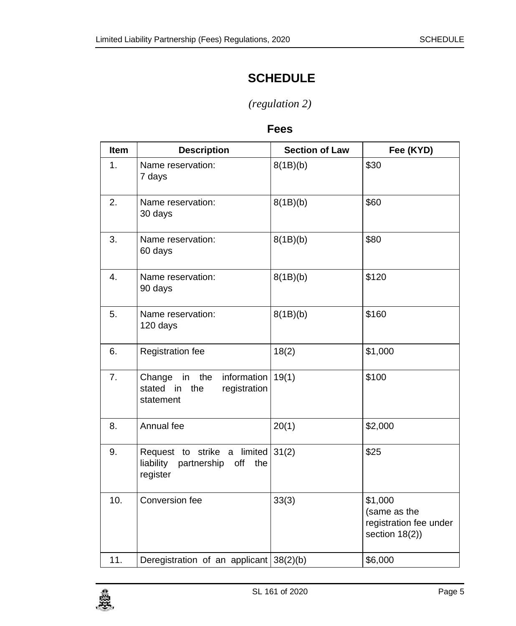## **SCHEDULE**

## *(regulation 2)*

### **Fees**

| Item             | <b>Description</b>                                                                  | <b>Section of Law</b> | Fee (KYD)                                                           |
|------------------|-------------------------------------------------------------------------------------|-----------------------|---------------------------------------------------------------------|
| 1.               | Name reservation:<br>7 days                                                         | 8(1B)(b)              | \$30                                                                |
| 2.               | Name reservation:<br>30 days                                                        | 8(1B)(b)              | \$60                                                                |
| 3.               | Name reservation:<br>60 days                                                        | 8(1B)(b)              | \$80                                                                |
| $\overline{4}$ . | Name reservation:<br>90 days                                                        | 8(1B)(b)              | \$120                                                               |
| 5.               | Name reservation:<br>120 days                                                       | 8(1B)(b)              | \$160                                                               |
| 6.               | Registration fee                                                                    | 18(2)                 | \$1,000                                                             |
| 7.               | the<br>information<br>Change<br>in<br>stated in the<br>registration<br>statement    | 19(1)                 | \$100                                                               |
| 8.               | Annual fee                                                                          | 20(1)                 | \$2,000                                                             |
| 9.               | Request to strike a limited $31(2)$<br>liability partnership off<br>the<br>register |                       | \$25                                                                |
| 10.              | Conversion fee                                                                      | 33(3)                 | \$1,000<br>(same as the<br>registration fee under<br>section 18(2)) |
| 11.              | Deregistration of an applicant 38(2)(b)                                             |                       | \$6,000                                                             |